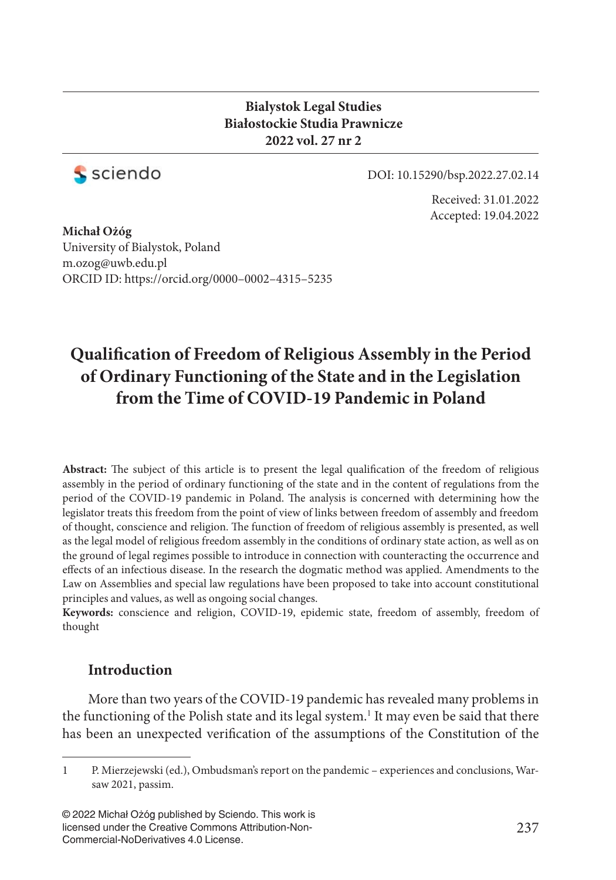## **Bialystok Legal Studies Białostockie Studia Prawnicze 2022 vol. 27 nr 2**



DOI: 10.15290/bsp.2022.27.02.14

Received: 31.01.2022 Accepted: 19.04.2022

**Michał Ożóg** University of Bialystok, Poland m.ozog@uwb.edu.pl ORCID ID: https://orcid.org/0000–0002–4315–5235

# **Qualifi cation of Freedom of Religious Assembly in the Period of Ordinary Functioning of the State and in the Legislation from the Time of COVID-19 Pandemic in Poland**

Abstract: The subject of this article is to present the legal qualification of the freedom of religious assembly in the period of ordinary functioning of the state and in the content of regulations from the period of the COVID-19 pandemic in Poland. The analysis is concerned with determining how the legislator treats this freedom from the point of view of links between freedom of assembly and freedom of thought, conscience and religion. The function of freedom of religious assembly is presented, as well as the legal model of religious freedom assembly in the conditions of ordinary state action, as well as on the ground of legal regimes possible to introduce in connection with counteracting the occurrence and effects of an infectious disease. In the research the dogmatic method was applied. Amendments to the Law on Assemblies and special law regulations have been proposed to take into account constitutional principles and values, as well as ongoing social changes.

**Keywords:** conscience and religion, COVID-19, epidemic state, freedom of assembly, freedom of thought

## **Introduction**

More than two years of the COVID-19 pandemic has revealed many problems in the functioning of the Polish state and its legal system.<sup>1</sup> It may even be said that there has been an unexpected verification of the assumptions of the Constitution of the

<sup>1</sup> P. Mierzejewski (ed.), Ombudsman's report on the pandemic – experiences and conclusions, Warsaw 2021, passim.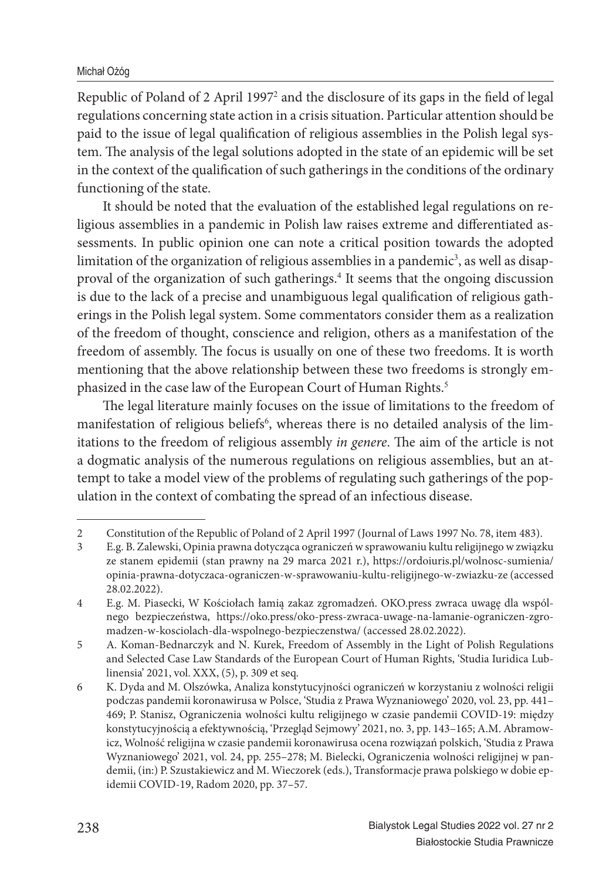Republic of Poland of 2 April 1997<sup>2</sup> and the disclosure of its gaps in the field of legal regulations concerning state action in a crisis situation. Particular attention should be paid to the issue of legal qualification of religious assemblies in the Polish legal system. The analysis of the legal solutions adopted in the state of an epidemic will be set in the context of the qualification of such gatherings in the conditions of the ordinary functioning of the state.

It should be noted that the evaluation of the established legal regulations on religious assemblies in a pandemic in Polish law raises extreme and differentiated assessments. In public opinion one can note a critical position towards the adopted limitation of the organization of religious assemblies in a pandemic $^3$ , as well as disapproval of the organization of such gatherings.<sup>4</sup> It seems that the ongoing discussion is due to the lack of a precise and unambiguous legal qualification of religious gatherings in the Polish legal system. Some commentators consider them as a realization of the freedom of thought, conscience and religion, others as a manifestation of the freedom of assembly. The focus is usually on one of these two freedoms. It is worth mentioning that the above relationship between these two freedoms is strongly emphasized in the case law of the European Court of Human Rights.<sup>5</sup>

The legal literature mainly focuses on the issue of limitations to the freedom of manifestation of religious beliefs<sup>6</sup>, whereas there is no detailed analysis of the limitations to the freedom of religious assembly *in genere*. The aim of the article is not a dogmatic analysis of the numerous regulations on religious assemblies, but an attempt to take a model view of the problems of regulating such gatherings of the population in the context of combating the spread of an infectious disease.

<sup>2</sup> Constitution of the Republic of Poland of 2 April 1997 (Journal of Laws 1997 No. 78, item 483).<br>2 E ø B Zalewski Opinia prawna dotycząca ograniczeń w sprawowaniu kultu religiinego w związk

<sup>3</sup> E.g. B. Zalewski, Opinia prawna dotycząca ograniczeń w sprawowaniu kultu religijnego w związku ze stanem epidemii (stan prawny na 29 marca 2021 r.), https://ordoiuris.pl/wolnosc-sumienia/ opinia-prawna-dotyczaca-ograniczen-w-sprawowaniu-kultu-religijnego-w-zwiazku-ze (accessed 28.02.2022).

<sup>4</sup> E.g. M. Piasecki, W Kościołach łamią zakaz zgromadzeń. OKO.press zwraca uwagę dla wspólnego bezpieczeństwa, https://oko.press/oko-press-zwraca-uwage-na-lamanie-ograniczen-zgromadzen-w-kosciolach-dla-wspolnego-bezpieczenstwa/ (accessed 28.02.2022).

<sup>5</sup> A. Koman-Bednarczyk and N. Kurek, Freedom of Assembly in the Light of Polish Regulations and Selected Case Law Standards of the European Court of Human Rights, 'Studia Iuridica Lublinensia' 2021, vol. XXX, (5), p. 309 et seq.

<sup>6</sup> K. Dyda and M. Olszówka, Analiza konstytucyjności ograniczeń w korzystaniu z wolności religii podczas pandemii koronawirusa w Polsce, 'Studia z Prawa Wyznaniowego' 2020, vol. 23, pp. 441– 469; P. Stanisz, Ograniczenia wolności kultu religijnego w czasie pandemii COVID-19: między konstytucyjnością a efektywnością, 'Przegląd Sejmowy' 2021, no. 3, pp. 143–165; A.M. Abramowicz, Wolność religijna w czasie pandemii koronawirusa ocena rozwiązań polskich, 'Studia z Prawa Wyznaniowego' 2021, vol. 24, pp. 255–278; M. Bielecki, Ograniczenia wolności religijnej w pandemii, (in:) P. Szustakiewicz and M. Wieczorek (eds.), Transformacje prawa polskiego w dobie epidemii COVID-19, Radom 2020, pp. 37–57.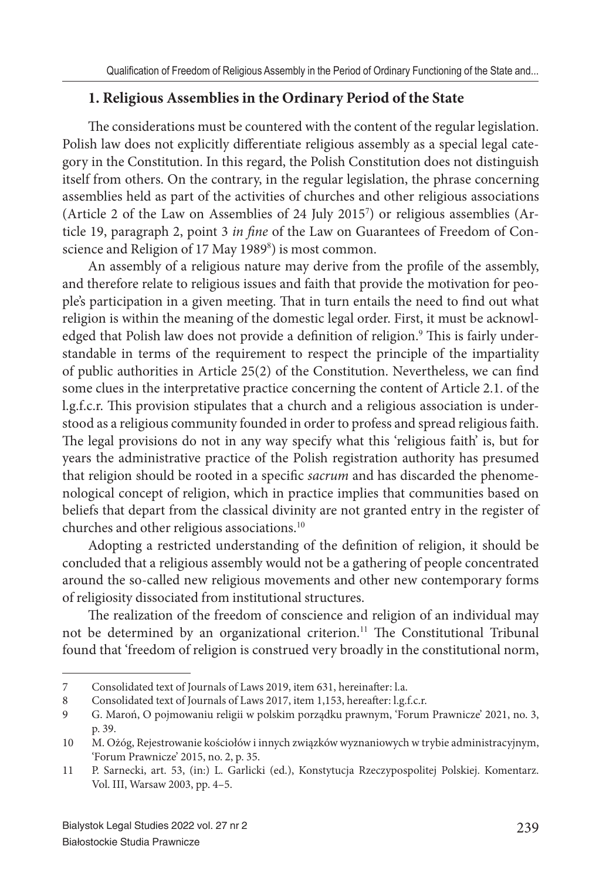## **1. Religious Assemblies in the Ordinary Period of the State**

The considerations must be countered with the content of the regular legislation. Polish law does not explicitly differentiate religious assembly as a special legal category in the Constitution. In this regard, the Polish Constitution does not distinguish itself from others. On the contrary, in the regular legislation, the phrase concerning assemblies held as part of the activities of churches and other religious associations (Article 2 of the Law on Assemblies of 24 July 2015<sup>7</sup> ) or religious assemblies (Article 19, paragraph 2, point 3 *in fine* of the Law on Guarantees of Freedom of Conscience and Religion of 17 May 1989<sup>8</sup>) is most common.

An assembly of a religious nature may derive from the profile of the assembly, and therefore relate to religious issues and faith that provide the motivation for people's participation in a given meeting. That in turn entails the need to find out what religion is within the meaning of the domestic legal order. First, it must be acknowledged that Polish law does not provide a definition of religion.<sup>9</sup> This is fairly understandable in terms of the requirement to respect the principle of the impartiality of public authorities in Article 25(2) of the Constitution. Nevertheless, we can find some clues in the interpretative practice concerning the content of Article 2.1. of the l.g.f.c.r. This provision stipulates that a church and a religious association is understood as a religious community founded in order to profess and spread religious faith. The legal provisions do not in any way specify what this 'religious faith' is, but for years the administrative practice of the Polish registration authority has presumed that religion should be rooted in a specific *sacrum* and has discarded the phenomenological concept of religion, which in practice implies that communities based on beliefs that depart from the classical divinity are not granted entry in the register of churches and other religious associations.<sup>10</sup>

Adopting a restricted understanding of the definition of religion, it should be concluded that a religious assembly would not be a gathering of people concentrated around the so-called new religious movements and other new contemporary forms of religiosity dissociated from institutional structures.

The realization of the freedom of conscience and religion of an individual may not be determined by an organizational criterion.<sup>11</sup> The Constitutional Tribunal found that 'freedom of religion is construed very broadly in the constitutional norm,

<sup>7</sup> Consolidated text of Journals of Laws 2019, item 631, hereinafter: l.a.

<sup>8</sup> Consolidated text of Journals of Laws 2017, item 1,153, hereafter: l.g.f.c.r.<br>9 G Maroń O poimowaniu religii w polskim porzadku prawnym 'Forum

<sup>9</sup> G. Maroń, O pojmowaniu religii w polskim porządku prawnym, 'Forum Prawnicze' 2021, no. 3, p. 39.

<sup>10</sup> M. Ożóg, Rejestrowanie kościołów i innych związków wyznaniowych w trybie administracyjnym, 'Forum Prawnicze' 2015, no. 2, p. 35.

<sup>11</sup> P. Sarnecki, art. 53, (in:) L. Garlicki (ed.), Konstytucja Rzeczypospolitej Polskiej. Komentarz. Vol. III, Warsaw 2003, pp. 4–5.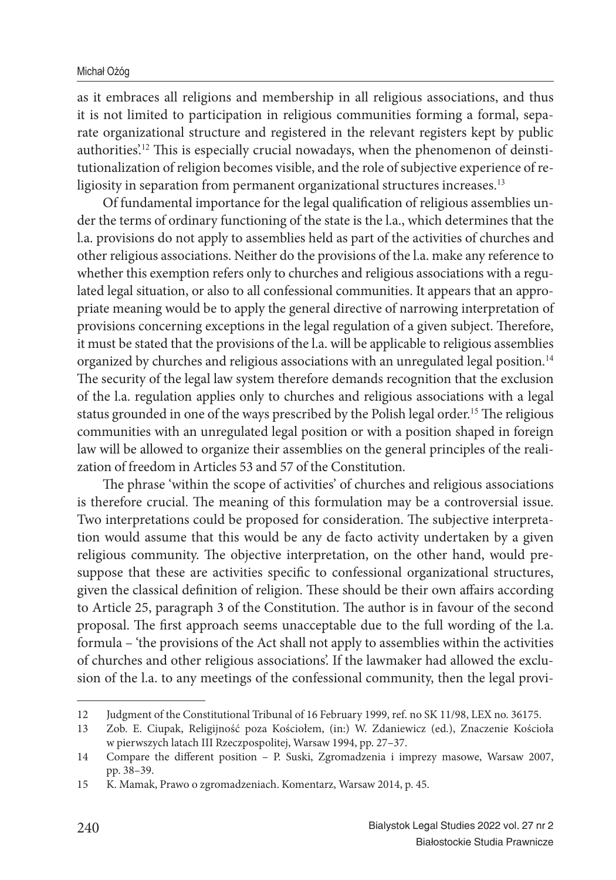as it embraces all religions and membership in all religious associations, and thus it is not limited to participation in religious communities forming a formal, separate organizational structure and registered in the relevant registers kept by public authorities.<sup>12</sup> This is especially crucial nowadays, when the phenomenon of deinstitutionalization of religion becomes visible, and the role of subjective experience of religiosity in separation from permanent organizational structures increases.<sup>13</sup>

Of fundamental importance for the legal qualification of religious assemblies under the terms of ordinary functioning of the state is the l.a., which determines that the l.a. provisions do not apply to assemblies held as part of the activities of churches and other religious associations. Neither do the provisions of the l.a. make any reference to whether this exemption refers only to churches and religious associations with a regulated legal situation, or also to all confessional communities. It appears that an appropriate meaning would be to apply the general directive of narrowing interpretation of provisions concerning exceptions in the legal regulation of a given subject. Therefore, it must be stated that the provisions of the l.a. will be applicable to religious assemblies organized by churches and religious associations with an unregulated legal position.<sup>14</sup> The security of the legal law system therefore demands recognition that the exclusion of the l.a. regulation applies only to churches and religious associations with a legal status grounded in one of the ways prescribed by the Polish legal order.<sup>15</sup> The religious communities with an unregulated legal position or with a position shaped in foreign law will be allowed to organize their assemblies on the general principles of the realization of freedom in Articles 53 and 57 of the Constitution.

The phrase 'within the scope of activities' of churches and religious associations is therefore crucial. The meaning of this formulation may be a controversial issue. Two interpretations could be proposed for consideration. The subjective interpretation would assume that this would be any de facto activity undertaken by a given religious community. The objective interpretation, on the other hand, would presuppose that these are activities specific to confessional organizational structures, given the classical definition of religion. These should be their own affairs according to Article 25, paragraph 3 of the Constitution. The author is in favour of the second proposal. The first approach seems unacceptable due to the full wording of the l.a. formula – 'the provisions of the Act shall not apply to assemblies within the activities of churches and other religious associations'. If the lawmaker had allowed the exclusion of the l.a. to any meetings of the confessional community, then the legal provi-

<sup>12</sup> Judgment of the Constitutional Tribunal of 16 February 1999, ref. no SK 11/98, LEX no. 36175.

<sup>13</sup> Zob. E. Ciupak, Religijność poza Kościołem, (in:) W. Zdaniewicz (ed.), Znaczenie Kościoła w pierwszych latach III Rzeczpospolitej, Warsaw 1994, pp. 27–37.

<sup>14</sup> Compare the different position - P. Suski, Zgromadzenia i imprezy masowe, Warsaw 2007, pp. 38–39.

<sup>15</sup> K. Mamak, Prawo o zgromadzeniach. Komentarz, Warsaw 2014, p. 45.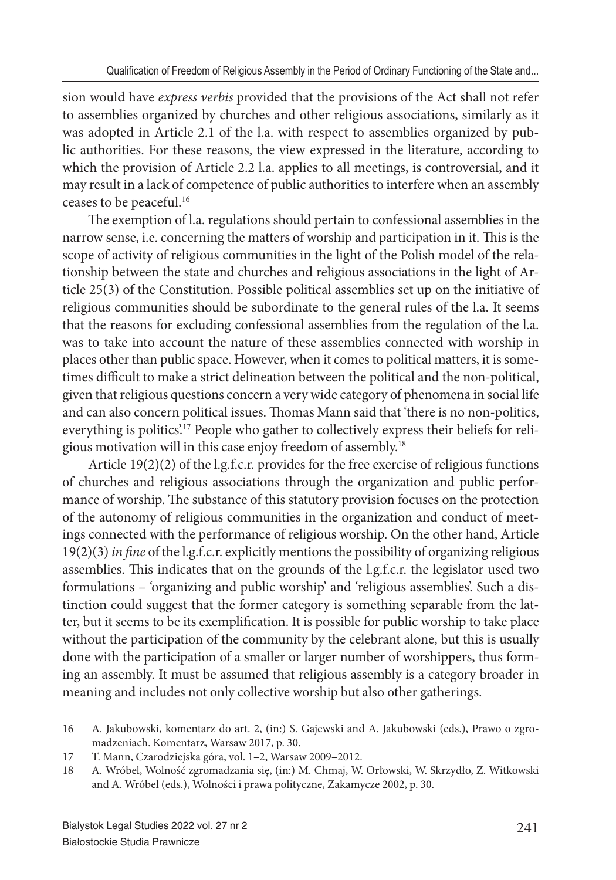sion would have *express verbis* provided that the provisions of the Act shall not refer to assemblies organized by churches and other religious associations, similarly as it was adopted in Article 2.1 of the l.a. with respect to assemblies organized by public authorities. For these reasons, the view expressed in the literature, according to which the provision of Article 2.2 l.a. applies to all meetings, is controversial, and it may result in a lack of competence of public authorities to interfere when an assembly ceases to be peaceful.<sup>16</sup>

The exemption of l.a. regulations should pertain to confessional assemblies in the narrow sense, i.e. concerning the matters of worship and participation in it. This is the scope of activity of religious communities in the light of the Polish model of the relationship between the state and churches and religious associations in the light of Article 25(3) of the Constitution. Possible political assemblies set up on the initiative of religious communities should be subordinate to the general rules of the l.a. It seems that the reasons for excluding confessional assemblies from the regulation of the l.a. was to take into account the nature of these assemblies connected with worship in places other than public space. However, when it comes to political matters, it is sometimes difficult to make a strict delineation between the political and the non-political, given that religious questions concern a very wide category of phenomena in social life and can also concern political issues. Thomas Mann said that 'there is no non-politics, everything is politics.<sup>17</sup> People who gather to collectively express their beliefs for religious motivation will in this case enjoy freedom of assembly.<sup>18</sup>

Article 19(2)(2) of the l.g.f.c.r. provides for the free exercise of religious functions of churches and religious associations through the organization and public performance of worship. The substance of this statutory provision focuses on the protection of the autonomy of religious communities in the organization and conduct of meetings connected with the performance of religious worship. On the other hand, Article 19(2)(3) *in fine* of the l.g.f.c.r. explicitly mentions the possibility of organizing religious assemblies. This indicates that on the grounds of the l.g.f.c.r. the legislator used two formulations – 'organizing and public worship' and 'religious assemblies'. Such a distinction could suggest that the former category is something separable from the latter, but it seems to be its exemplification. It is possible for public worship to take place without the participation of the community by the celebrant alone, but this is usually done with the participation of a smaller or larger number of worshippers, thus forming an assembly. It must be assumed that religious assembly is a category broader in meaning and includes not only collective worship but also other gatherings.

<sup>16</sup> A. Jakubowski, komentarz do art. 2, (in:) S. Gajewski and A. Jakubowski (eds.), Prawo o zgromadzeniach. Komentarz, Warsaw 2017, p. 30.

<sup>17</sup> T. Mann, Czarodziejska góra, vol. 1–2, Warsaw 2009–2012.

<sup>18</sup> A. Wróbel, Wolność zgromadzania się, (in:) M. Chmaj, W. Orłowski, W. Skrzydło, Z. Witkowski and A. Wróbel (eds.), Wolności i prawa polityczne, Zakamycze 2002, p. 30.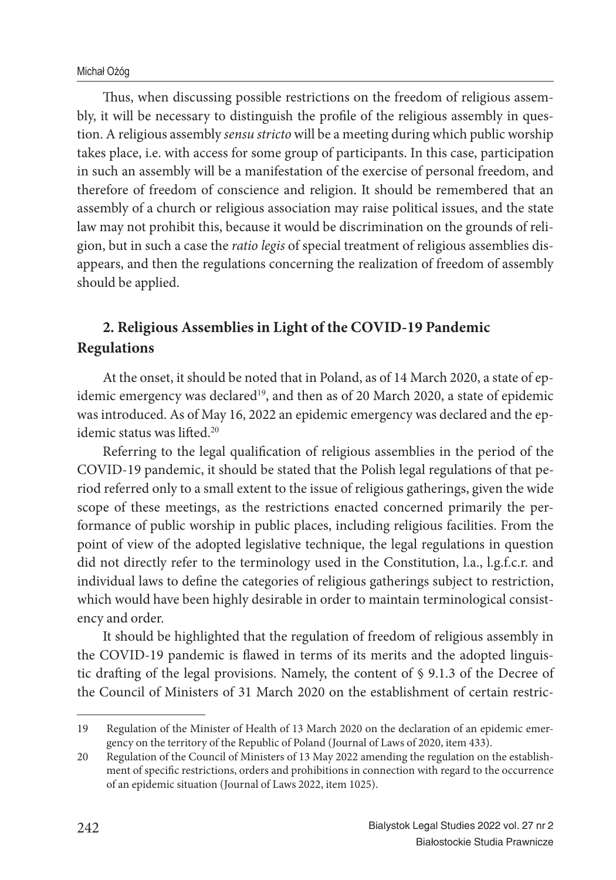Thus, when discussing possible restrictions on the freedom of religious assembly, it will be necessary to distinguish the profile of the religious assembly in question. A religious assembly *sensu stricto* will be a meeting during which public worship takes place, i.e. with access for some group of participants. In this case, participation in such an assembly will be a manifestation of the exercise of personal freedom, and therefore of freedom of conscience and religion. It should be remembered that an assembly of a church or religious association may raise political issues, and the state law may not prohibit this, because it would be discrimination on the grounds of religion, but in such a case the *ratio legis* of special treatment of religious assemblies disappears, and then the regulations concerning the realization of freedom of assembly should be applied.

## **2. Religious Assemblies in Light of the COVID-19 Pandemic Regulations**

At the onset, it should be noted that in Poland, as of 14 March 2020, a state of epidemic emergency was declared<sup>19</sup>, and then as of 20 March 2020, a state of epidemic was introduced. As of May 16, 2022 an epidemic emergency was declared and the epidemic status was lifted.<sup>20</sup>

Referring to the legal qualification of religious assemblies in the period of the COVID-19 pandemic, it should be stated that the Polish legal regulations of that period referred only to a small extent to the issue of religious gatherings, given the wide scope of these meetings, as the restrictions enacted concerned primarily the performance of public worship in public places, including religious facilities. From the point of view of the adopted legislative technique, the legal regulations in question did not directly refer to the terminology used in the Constitution, l.a., l.g.f.c.r. and individual laws to define the categories of religious gatherings subject to restriction, which would have been highly desirable in order to maintain terminological consistency and order.

It should be highlighted that the regulation of freedom of religious assembly in the COVID-19 pandemic is flawed in terms of its merits and the adopted linguistic drafting of the legal provisions. Namely, the content of  $\S$  9.1.3 of the Decree of the Council of Ministers of 31 March 2020 on the establishment of certain restric-

<sup>19</sup> Regulation of the Minister of Health of 13 March 2020 on the declaration of an epidemic emergency on the territory of the Republic of Poland (Journal of Laws of 2020, item 433).

<sup>20</sup> Regulation of the Council of Ministers of 13 May 2022 amending the regulation on the establishment of specific restrictions, orders and prohibitions in connection with regard to the occurrence of an epidemic situation (Journal of Laws 2022, item 1025).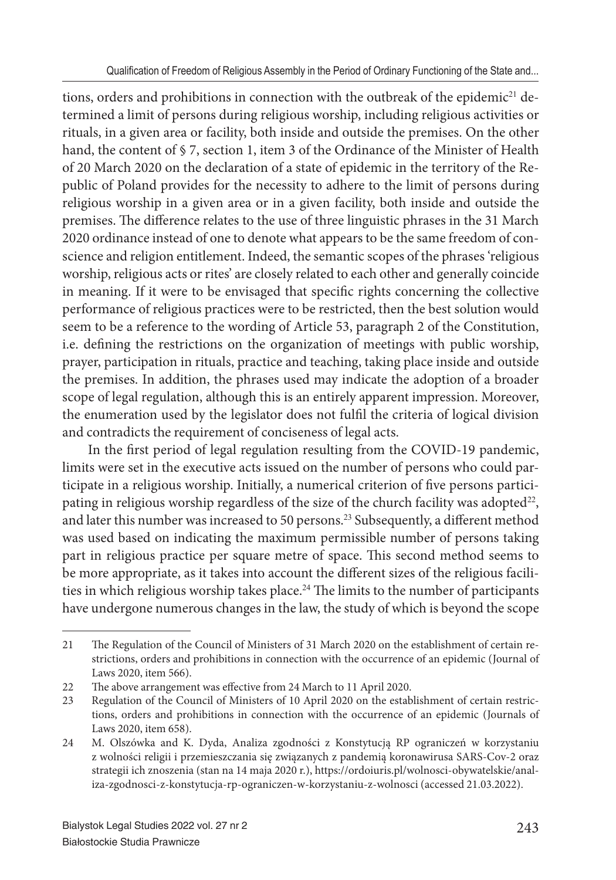tions, orders and prohibitions in connection with the outbreak of the epidemic<sup>21</sup> determined a limit of persons during religious worship, including religious activities or rituals, in a given area or facility, both inside and outside the premises. On the other hand, the content of § 7, section 1, item 3 of the Ordinance of the Minister of Health of 20 March 2020 on the declaration of a state of epidemic in the territory of the Republic of Poland provides for the necessity to adhere to the limit of persons during religious worship in a given area or in a given facility, both inside and outside the premises. The difference relates to the use of three linguistic phrases in the 31 March 2020 ordinance instead of one to denote what appears to be the same freedom of conscience and religion entitlement. Indeed, the semantic scopes of the phrases 'religious worship, religious acts or rites' are closely related to each other and generally coincide in meaning. If it were to be envisaged that specific rights concerning the collective performance of religious practices were to be restricted, then the best solution would seem to be a reference to the wording of Article 53, paragraph 2 of the Constitution, i.e. defining the restrictions on the organization of meetings with public worship, prayer, participation in rituals, practice and teaching, taking place inside and outside the premises. In addition, the phrases used may indicate the adoption of a broader scope of legal regulation, although this is an entirely apparent impression. Moreover, the enumeration used by the legislator does not fulfil the criteria of logical division and contradicts the requirement of conciseness of legal acts.

In the first period of legal regulation resulting from the COVID-19 pandemic, limits were set in the executive acts issued on the number of persons who could participate in a religious worship. Initially, a numerical criterion of five persons participating in religious worship regardless of the size of the church facility was adopted $22$ , and later this number was increased to 50 persons.<sup>23</sup> Subsequently, a different method was used based on indicating the maximum permissible number of persons taking part in religious practice per square metre of space. This second method seems to be more appropriate, as it takes into account the different sizes of the religious facilities in which religious worship takes place.<sup>24</sup> The limits to the number of participants have undergone numerous changes in the law, the study of which is beyond the scope

<sup>21</sup> The Regulation of the Council of Ministers of 31 March 2020 on the establishment of certain restrictions, orders and prohibitions in connection with the occurrence of an epidemic (Journal of Laws 2020, item 566).

<sup>22</sup> The above arrangement was effective from 24 March to 11 April 2020.

<sup>23</sup> Regulation of the Council of Ministers of 10 April 2020 on the establishment of certain restrictions, orders and prohibitions in connection with the occurrence of an epidemic (Journals of Laws 2020, item 658).

<sup>24</sup> M. Olszówka and K. Dyda, Analiza zgodności z Konstytucją RP ograniczeń w korzystaniu z wolności religii i przemieszczania się związanych z pandemią koronawirusa SARS-Cov-2 oraz strategii ich znoszenia (stan na 14 maja 2020 r.), https://ordoiuris.pl/wolnosci-obywatelskie/analiza-zgodnosci-z-konstytucja-rp-ograniczen-w-korzystaniu-z-wolnosci (accessed 21.03.2022).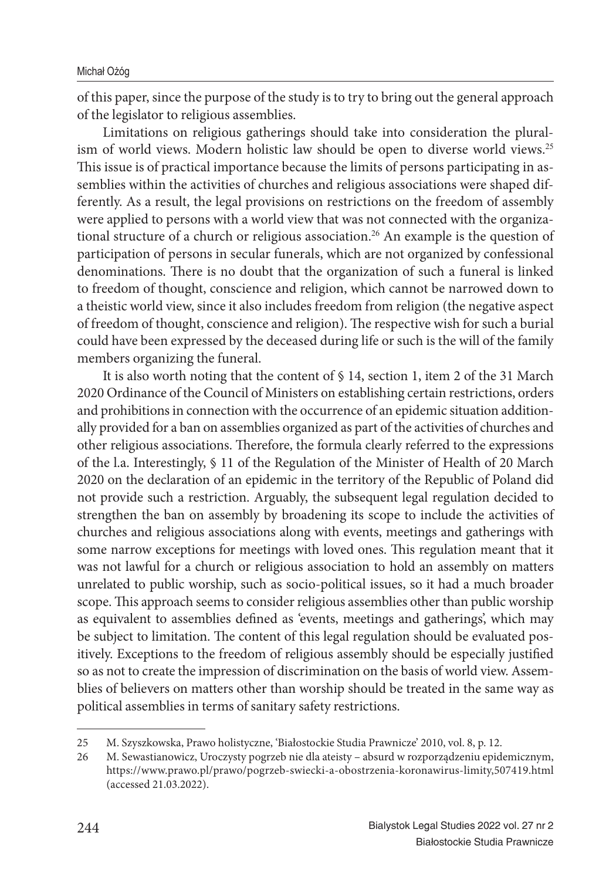of this paper, since the purpose of the study is to try to bring out the general approach of the legislator to religious assemblies.

Limitations on religious gatherings should take into consideration the pluralism of world views. Modern holistic law should be open to diverse world views.<sup>25</sup> This issue is of practical importance because the limits of persons participating in assemblies within the activities of churches and religious associations were shaped differently. As a result, the legal provisions on restrictions on the freedom of assembly were applied to persons with a world view that was not connected with the organizational structure of a church or religious association.<sup>26</sup> An example is the question of participation of persons in secular funerals, which are not organized by confessional denominations. There is no doubt that the organization of such a funeral is linked to freedom of thought, conscience and religion, which cannot be narrowed down to a theistic world view, since it also includes freedom from religion (the negative aspect of freedom of thought, conscience and religion). The respective wish for such a burial could have been expressed by the deceased during life or such is the will of the family members organizing the funeral.

It is also worth noting that the content of  $\S$  14, section 1, item 2 of the 31 March 2020 Ordinance of the Council of Ministers on establishing certain restrictions, orders and prohibitions in connection with the occurrence of an epidemic situation additionally provided for a ban on assemblies organized as part of the activities of churches and other religious associations. Therefore, the formula clearly referred to the expressions of the l.a. Interestingly, § 11 of the Regulation of the Minister of Health of 20 March 2020 on the declaration of an epidemic in the territory of the Republic of Poland did not provide such a restriction. Arguably, the subsequent legal regulation decided to strengthen the ban on assembly by broadening its scope to include the activities of churches and religious associations along with events, meetings and gatherings with some narrow exceptions for meetings with loved ones. This regulation meant that it was not lawful for a church or religious association to hold an assembly on matters unrelated to public worship, such as socio-political issues, so it had a much broader scope. This approach seems to consider religious assemblies other than public worship as equivalent to assemblies defined as 'events, meetings and gatherings', which may be subject to limitation. The content of this legal regulation should be evaluated positively. Exceptions to the freedom of religious assembly should be especially justified so as not to create the impression of discrimination on the basis of world view. Assemblies of believers on matters other than worship should be treated in the same way as political assemblies in terms of sanitary safety restrictions.

<sup>25</sup> M. Szyszkowska, Prawo holistyczne, 'Białostockie Studia Prawnicze' 2010, vol. 8, p. 12.

<sup>26</sup> M. Sewastianowicz, Uroczysty pogrzeb nie dla ateisty – absurd w rozporządzeniu epidemicznym, https://www.prawo.pl/prawo/pogrzeb-swiecki-a-obostrzenia-koronawirus-limity,507419.html (accessed 21.03.2022).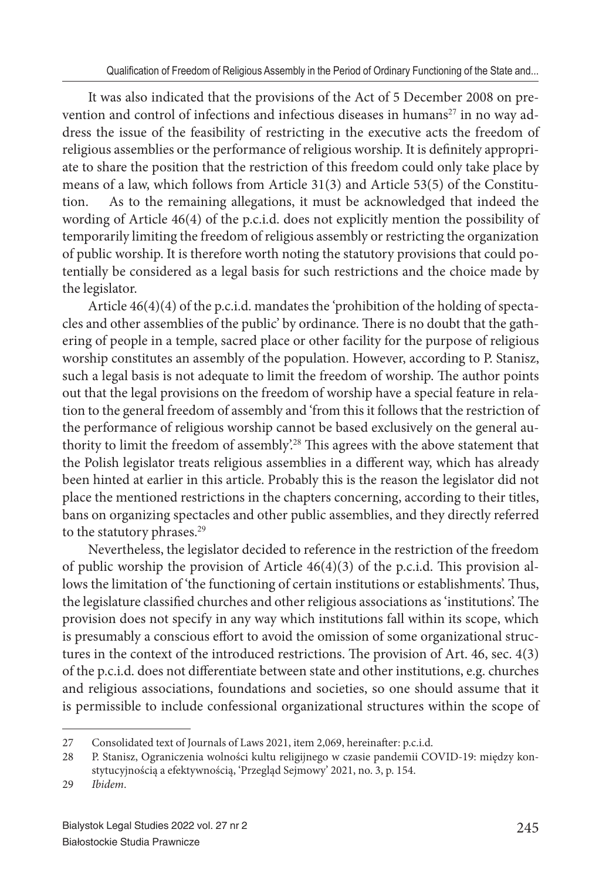It was also indicated that the provisions of the Act of 5 December 2008 on prevention and control of infections and infectious diseases in humans $27$  in no way address the issue of the feasibility of restricting in the executive acts the freedom of religious assemblies or the performance of religious worship. It is definitely appropriate to share the position that the restriction of this freedom could only take place by means of a law, which follows from Article 31(3) and Article 53(5) of the Constitution. As to the remaining allegations, it must be acknowledged that indeed the wording of Article 46(4) of the p.c.i.d. does not explicitly mention the possibility of temporarily limiting the freedom of religious assembly or restricting the organization of public worship. It is therefore worth noting the statutory provisions that could potentially be considered as a legal basis for such restrictions and the choice made by the legislator.

Article 46(4)(4) of the p.c.i.d. mandates the 'prohibition of the holding of spectacles and other assemblies of the public' by ordinance. There is no doubt that the gathering of people in a temple, sacred place or other facility for the purpose of religious worship constitutes an assembly of the population. However, according to P. Stanisz, such a legal basis is not adequate to limit the freedom of worship. The author points out that the legal provisions on the freedom of worship have a special feature in relation to the general freedom of assembly and 'from this it follows that the restriction of the performance of religious worship cannot be based exclusively on the general authority to limit the freedom of assembly.<sup>28</sup> This agrees with the above statement that the Polish legislator treats religious assemblies in a different way, which has already been hinted at earlier in this article. Probably this is the reason the legislator did not place the mentioned restrictions in the chapters concerning, according to their titles, bans on organizing spectacles and other public assemblies, and they directly referred to the statutory phrases.<sup>29</sup>

Nevertheless, the legislator decided to reference in the restriction of the freedom of public worship the provision of Article  $46(4)(3)$  of the p.c.i.d. This provision allows the limitation of 'the functioning of certain institutions or establishments'. Thus, the legislature classified churches and other religious associations as 'institutions'. The provision does not specify in any way which institutions fall within its scope, which is presumably a conscious effort to avoid the omission of some organizational structures in the context of the introduced restrictions. The provision of Art.  $46$ , sec.  $4(3)$ of the p.c.i.d. does not differentiate between state and other institutions, e.g. churches and religious associations, foundations and societies, so one should assume that it is permissible to include confessional organizational structures within the scope of

<sup>27</sup> Consolidated text of Journals of Laws 2021, item 2,069, hereinafter: p.c.i.d.

<sup>28</sup> P. Stanisz, Ograniczenia wolności kultu religijnego w czasie pandemii COVID-19: między konstytucyjnością a efektywnością, 'Przegląd Sejmowy' 2021, no. 3, p. 154.

<sup>29</sup> *Ibidem*.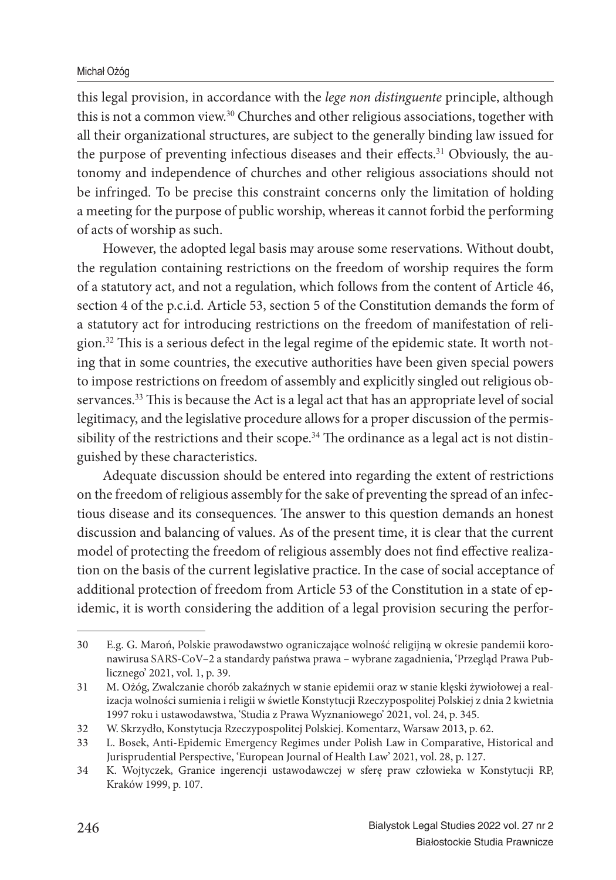### Michał Ożóg

this legal provision, in accordance with the *lege non distinguente* principle, although this is not a common view.<sup>30</sup> Churches and other religious associations, together with all their organizational structures, are subject to the generally binding law issued for the purpose of preventing infectious diseases and their effects.<sup>31</sup> Obviously, the autonomy and independence of churches and other religious associations should not be infringed. To be precise this constraint concerns only the limitation of holding a meeting for the purpose of public worship, whereas it cannot forbid the performing of acts of worship as such.

However, the adopted legal basis may arouse some reservations. Without doubt, the regulation containing restrictions on the freedom of worship requires the form of a statutory act, and not a regulation, which follows from the content of Article 46, section 4 of the p.c.i.d. Article 53, section 5 of the Constitution demands the form of a statutory act for introducing restrictions on the freedom of manifestation of religion.<sup>32</sup> This is a serious defect in the legal regime of the epidemic state. It worth noting that in some countries, the executive authorities have been given special powers to impose restrictions on freedom of assembly and explicitly singled out religious observances.<sup>33</sup> This is because the Act is a legal act that has an appropriate level of social legitimacy, and the legislative procedure allows for a proper discussion of the permissibility of the restrictions and their scope.<sup>34</sup> The ordinance as a legal act is not distinguished by these characteristics.

Adequate discussion should be entered into regarding the extent of restrictions on the freedom of religious assembly for the sake of preventing the spread of an infectious disease and its consequences. The answer to this question demands an honest discussion and balancing of values. As of the present time, it is clear that the current model of protecting the freedom of religious assembly does not find effective realization on the basis of the current legislative practice. In the case of social acceptance of additional protection of freedom from Article 53 of the Constitution in a state of epidemic, it is worth considering the addition of a legal provision securing the perfor-

<sup>30</sup> E.g. G. Maroń, Polskie prawodawstwo ograniczające wolność religijną w okresie pandemii koronawirusa SARS-CoV–2 a standardy państwa prawa – wybrane zagadnienia, 'Przegląd Prawa Publicznego' 2021, vol. 1, p. 39.

<sup>31</sup> M. Ożóg, Zwalczanie chorób zakaźnych w stanie epidemii oraz w stanie klęski żywiołowej a realizacja wolności sumienia i religii w świetle Konstytucji Rzeczypospolitej Polskiej z dnia 2 kwietnia 1997 roku i ustawodawstwa, 'Studia z Prawa Wyznaniowego' 2021, vol. 24, p. 345.

<sup>32</sup> W. Skrzydło, Konstytucja Rzeczypospolitej Polskiej. Komentarz, Warsaw 2013, p. 62.

<sup>33</sup> L. Bosek, Anti-Epidemic Emergency Regimes under Polish Law in Comparative, Historical and Jurisprudential Perspective, 'European Journal of Health Law' 2021, vol. 28, p. 127.

<sup>34</sup> K. Wojtyczek, Granice ingerencji ustawodawczej w sferę praw człowieka w Konstytucji RP, Kraków 1999, p. 107.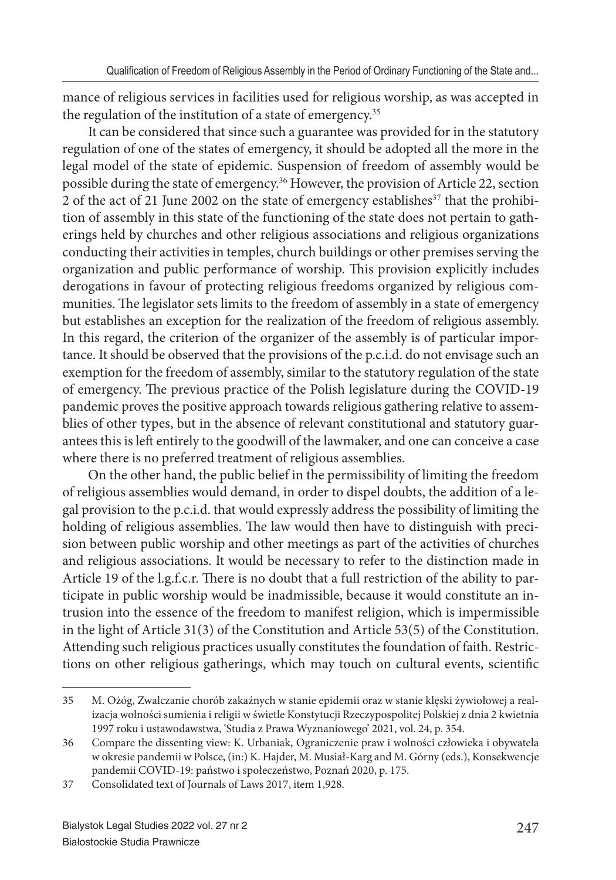mance of religious services in facilities used for religious worship, as was accepted in the regulation of the institution of a state of emergency.<sup>35</sup>

It can be considered that since such a guarantee was provided for in the statutory regulation of one of the states of emergency, it should be adopted all the more in the legal model of the state of epidemic. Suspension of freedom of assembly would be possible during the state of emergency.<sup>36</sup> However, the provision of Article 22, section 2 of the act of 21 June 2002 on the state of emergency establishes<sup>37</sup> that the prohibition of assembly in this state of the functioning of the state does not pertain to gatherings held by churches and other religious associations and religious organizations conducting their activities in temples, church buildings or other premises serving the organization and public performance of worship. This provision explicitly includes derogations in favour of protecting religious freedoms organized by religious communities. The legislator sets limits to the freedom of assembly in a state of emergency but establishes an exception for the realization of the freedom of religious assembly. In this regard, the criterion of the organizer of the assembly is of particular importance. It should be observed that the provisions of the p.c.i.d. do not envisage such an exemption for the freedom of assembly, similar to the statutory regulation of the state of emergency. The previous practice of the Polish legislature during the COVID-19 pandemic proves the positive approach towards religious gathering relative to assemblies of other types, but in the absence of relevant constitutional and statutory guarantees this is left entirely to the goodwill of the lawmaker, and one can conceive a case where there is no preferred treatment of religious assemblies.

On the other hand, the public belief in the permissibility of limiting the freedom of religious assemblies would demand, in order to dispel doubts, the addition of a legal provision to the p.c.i.d. that would expressly address the possibility of limiting the holding of religious assemblies. The law would then have to distinguish with precision between public worship and other meetings as part of the activities of churches and religious associations. It would be necessary to refer to the distinction made in Article 19 of the l.g.f.c.r. There is no doubt that a full restriction of the ability to participate in public worship would be inadmissible, because it would constitute an intrusion into the essence of the freedom to manifest religion, which is impermissible in the light of Article 31(3) of the Constitution and Article 53(5) of the Constitution. Attending such religious practices usually constitutes the foundation of faith. Restrictions on other religious gatherings, which may touch on cultural events, scientific

<sup>35</sup> M. Ożóg, Zwalczanie chorób zakaźnych w stanie epidemii oraz w stanie klęski żywiołowej a realizacja wolności sumienia i religii w świetle Konstytucji Rzeczypospolitej Polskiej z dnia 2 kwietnia 1997 roku i ustawodawstwa, 'Studia z Prawa Wyznaniowego' 2021, vol. 24, p. 354.

<sup>36</sup> Compare the dissenting view: K. Urbaniak, Ograniczenie praw i wolności człowieka i obywatela w okresie pandemii w Polsce, (in:) K. Hajder, M. Musiał-Karg and M. Górny (eds.), Konsekwencje pandemii COVID-19: państwo i społeczeństwo, Poznań 2020, p. 175.

<sup>37</sup> Consolidated text of Journals of Laws 2017, item 1,928.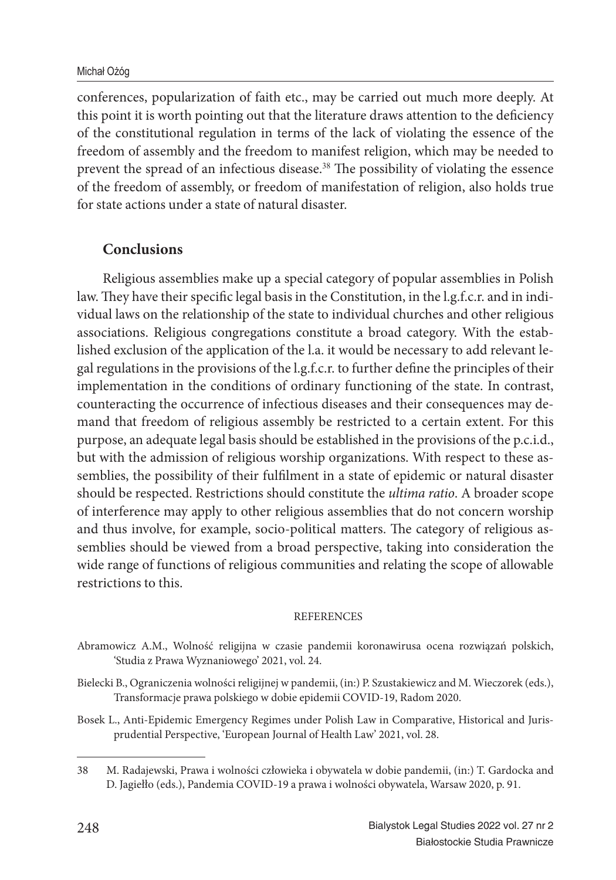conferences, popularization of faith etc., may be carried out much more deeply. At this point it is worth pointing out that the literature draws attention to the deficiency of the constitutional regulation in terms of the lack of violating the essence of the freedom of assembly and the freedom to manifest religion, which may be needed to prevent the spread of an infectious disease.<sup>38</sup> The possibility of violating the essence of the freedom of assembly, or freedom of manifestation of religion, also holds true for state actions under a state of natural disaster.

## **Conclusions**

Religious assemblies make up a special category of popular assemblies in Polish law. They have their specific legal basis in the Constitution, in the l.g.f.c.r. and in individual laws on the relationship of the state to individual churches and other religious associations. Religious congregations constitute a broad category. With the established exclusion of the application of the l.a. it would be necessary to add relevant legal regulations in the provisions of the l.g.f.c.r. to further define the principles of their implementation in the conditions of ordinary functioning of the state. In contrast, counteracting the occurrence of infectious diseases and their consequences may demand that freedom of religious assembly be restricted to a certain extent. For this purpose, an adequate legal basis should be established in the provisions of the p.c.i.d., but with the admission of religious worship organizations. With respect to these assemblies, the possibility of their fulfilment in a state of epidemic or natural disaster should be respected. Restrictions should constitute the *ultima ratio*. A broader scope of interference may apply to other religious assemblies that do not concern worship and thus involve, for example, socio-political matters. The category of religious assemblies should be viewed from a broad perspective, taking into consideration the wide range of functions of religious communities and relating the scope of allowable restrictions to this.

### **REFERENCES**

- Abramowicz A.M., Wolność religijna w czasie pandemii koronawirusa ocena rozwiązań polskich, 'Studia z Prawa Wyznaniowego' 2021, vol. 24.
- Bielecki B., Ograniczenia wolności religijnej w pandemii, (in:) P. Szustakiewicz and M. Wieczorek (eds.), Transformacje prawa polskiego w dobie epidemii COVID-19, Radom 2020.
- Bosek L., Anti-Epidemic Emergency Regimes under Polish Law in Comparative, Historical and Jurisprudential Perspective, 'European Journal of Health Law' 2021, vol. 28.

<sup>38</sup> M. Radajewski, Prawa i wolności człowieka i obywatela w dobie pandemii, (in:) T. Gardocka and D. Jagiełło (eds.), Pandemia COVID-19 a prawa i wolności obywatela, Warsaw 2020, p. 91.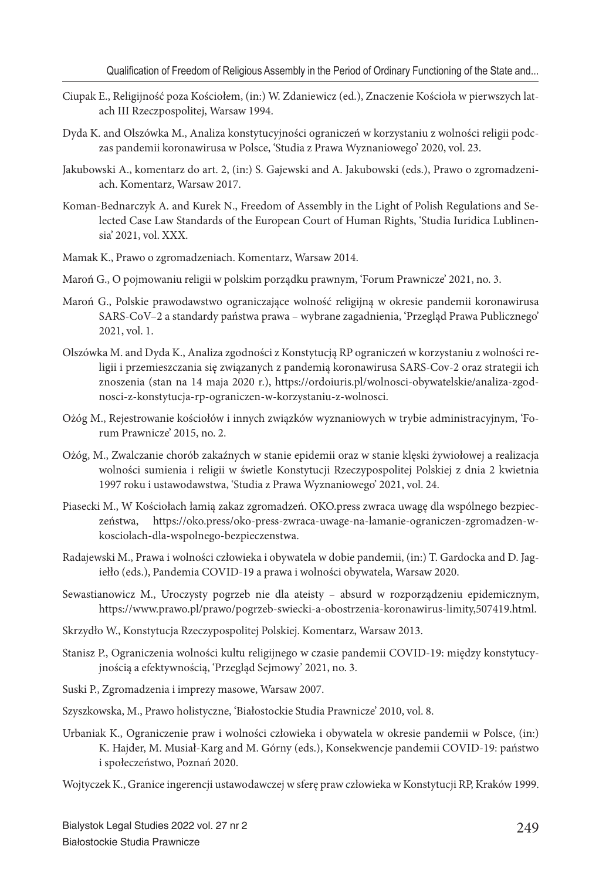- Ciupak E., Religijność poza Kościołem, (in:) W. Zdaniewicz (ed.), Znaczenie Kościoła w pierwszych latach III Rzeczpospolitej, Warsaw 1994.
- Dyda K. and Olszówka M., Analiza konstytucyjności ograniczeń w korzystaniu z wolności religii podczas pandemii koronawirusa w Polsce, 'Studia z Prawa Wyznaniowego' 2020, vol. 23.
- Jakubowski A., komentarz do art. 2, (in:) S. Gajewski and A. Jakubowski (eds.), Prawo o zgromadzeniach. Komentarz, Warsaw 2017.
- Koman-Bednarczyk A. and Kurek N., Freedom of Assembly in the Light of Polish Regulations and Selected Case Law Standards of the European Court of Human Rights, 'Studia Iuridica Lublinensia' 2021, vol. XXX.
- Mamak K., Prawo o zgromadzeniach. Komentarz, Warsaw 2014.
- Maroń G., O pojmowaniu religii w polskim porządku prawnym, 'Forum Prawnicze' 2021, no. 3.
- Maroń G., Polskie prawodawstwo ograniczające wolność religijną w okresie pandemii koronawirusa SARS-CoV–2 a standardy państwa prawa – wybrane zagadnienia, 'Przegląd Prawa Publicznego' 2021, vol. 1.
- Olszówka M. and Dyda K., Analiza zgodności z Konstytucją RP ograniczeń w korzystaniu z wolności religii i przemieszczania się związanych z pandemią koronawirusa SARS-Cov-2 oraz strategii ich znoszenia (stan na 14 maja 2020 r.), https://ordoiuris.pl/wolnosci-obywatelskie/analiza-zgodnosci-z-konstytucja-rp-ograniczen-w-korzystaniu-z-wolnosci.
- Ożóg M., Rejestrowanie kościołów i innych związków wyznaniowych w trybie administracyjnym, 'Forum Prawnicze' 2015, no. 2.
- Ożóg, M., Zwalczanie chorób zakaźnych w stanie epidemii oraz w stanie klęski żywiołowej a realizacja wolności sumienia i religii w świetle Konstytucji Rzeczypospolitej Polskiej z dnia 2 kwietnia 1997 roku i ustawodawstwa, 'Studia z Prawa Wyznaniowego' 2021, vol. 24.
- Piasecki M., W Kościołach łamią zakaz zgromadzeń. OKO.press zwraca uwagę dla wspólnego bezpieczeństwa, https://oko.press/oko-press-zwraca-uwage-na-lamanie-ograniczen-zgromadzen-wkosciolach-dla-wspolnego-bezpieczenstwa.
- Radajewski M., Prawa i wolności człowieka i obywatela w dobie pandemii, (in:) T. Gardocka and D. Jagiełło (eds.), Pandemia COVID-19 a prawa i wolności obywatela, Warsaw 2020.
- Sewastianowicz M., Uroczysty pogrzeb nie dla ateisty absurd w rozporządzeniu epidemicznym, https://www.prawo.pl/prawo/pogrzeb-swiecki-a-obostrzenia-koronawirus-limity,507419.html.
- Skrzydło W., Konstytucja Rzeczypospolitej Polskiej. Komentarz, Warsaw 2013.
- Stanisz P., Ograniczenia wolności kultu religijnego w czasie pandemii COVID-19: między konstytucyjnością a efektywnością, 'Przegląd Sejmowy' 2021, no. 3.
- Suski P., Zgromadzenia i imprezy masowe, Warsaw 2007.
- Szyszkowska, M., Prawo holistyczne, 'Białostockie Studia Prawnicze' 2010, vol. 8.
- Urbaniak K., Ograniczenie praw i wolności człowieka i obywatela w okresie pandemii w Polsce, (in:) K. Hajder, M. Musiał-Karg and M. Górny (eds.), Konsekwencje pandemii COVID-19: państwo i społeczeństwo, Poznań 2020.
- Wojtyczek K., Granice ingerencji ustawodawczej w sferę praw człowieka w Konstytucji RP, Kraków 1999.